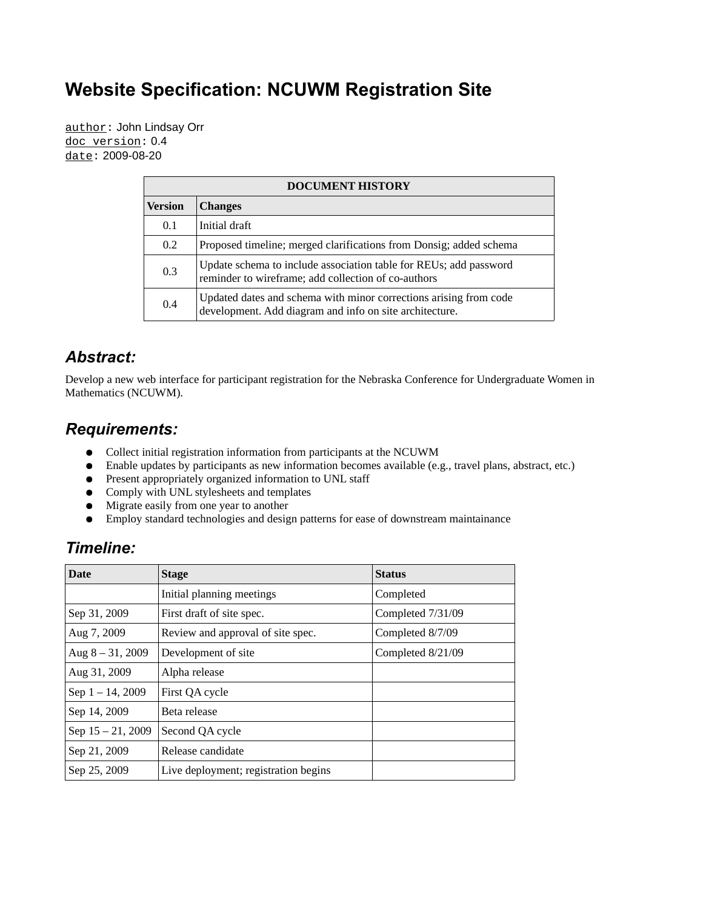## **Website Specification: NCUWM Registration Site**

author: John Lindsay Orr doc version: 0.4 date: 2009-08-20

| <b>DOCUMENT HISTORY</b> |                                                                                                                              |  |
|-------------------------|------------------------------------------------------------------------------------------------------------------------------|--|
| Version                 | <b>Changes</b>                                                                                                               |  |
| 0.1                     | Initial draft                                                                                                                |  |
| 0.2                     | Proposed timeline; merged clarifications from Donsig; added schema                                                           |  |
| 0.3                     | Update schema to include association table for REUs; add password<br>reminder to wireframe; add collection of co-authors     |  |
| 0.4                     | Updated dates and schema with minor corrections arising from code<br>development. Add diagram and info on site architecture. |  |

#### *Abstract:*

Develop a new web interface for participant registration for the Nebraska Conference for Undergraduate Women in Mathematics (NCUWM).

#### *Requirements:*

- Collect initial registration information from participants at the NCUWM
- Enable updates by participants as new information becomes available (e.g., travel plans, abstract, etc.)
- Present appropriately organized information to UNL staff
- Comply with UNL stylesheets and templates
- Migrate easily from one year to another
- Employ standard technologies and design patterns for ease of downstream maintainance

#### *Timeline:*

| <b>Date</b>         | <b>Stage</b>                         | <b>Status</b>     |
|---------------------|--------------------------------------|-------------------|
|                     | Initial planning meetings            | Completed         |
| Sep 31, 2009        | First draft of site spec.            | Completed 7/31/09 |
| Aug 7, 2009         | Review and approval of site spec.    | Completed 8/7/09  |
| Aug $8 - 31$ , 2009 | Development of site                  | Completed 8/21/09 |
| Aug 31, 2009        | Alpha release                        |                   |
| Sep $1 - 14$ , 2009 | First QA cycle                       |                   |
| Sep 14, 2009        | Beta release                         |                   |
| Sep 15 - 21, 2009   | Second QA cycle                      |                   |
| Sep 21, 2009        | Release candidate                    |                   |
| Sep 25, 2009        | Live deployment; registration begins |                   |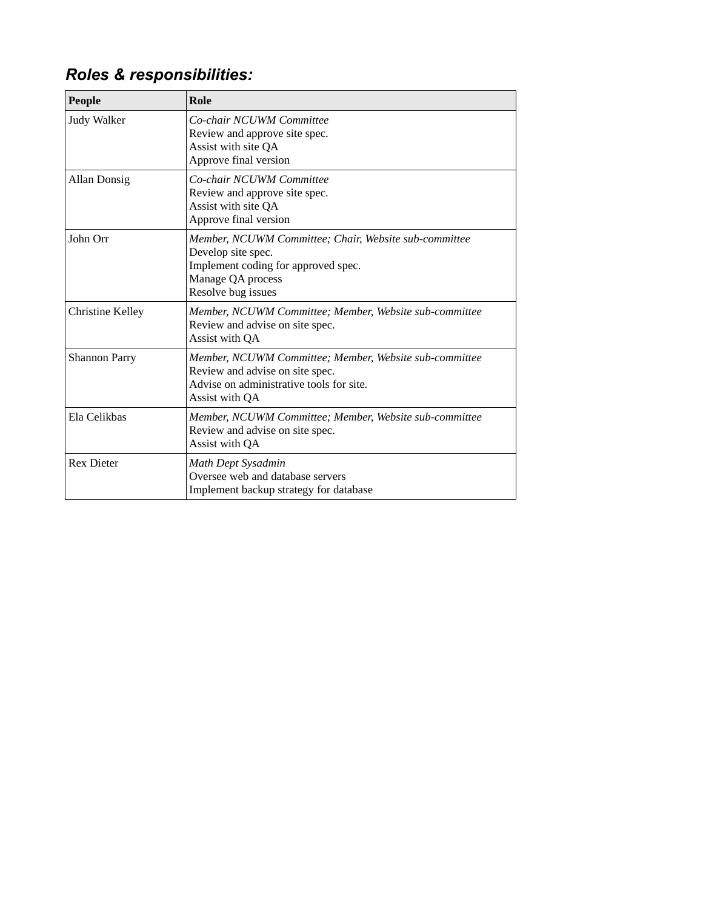# *Roles & responsibilities:*

| <b>People</b>           | Role                                                                                                                                                          |
|-------------------------|---------------------------------------------------------------------------------------------------------------------------------------------------------------|
| Judy Walker             | Co-chair NCUWM Committee<br>Review and approve site spec.<br>Assist with site QA<br>Approve final version                                                     |
| <b>Allan Donsig</b>     | Co-chair NCUWM Committee<br>Review and approve site spec.<br>Assist with site QA<br>Approve final version                                                     |
| John Orr                | Member, NCUWM Committee; Chair, Website sub-committee<br>Develop site spec.<br>Implement coding for approved spec.<br>Manage QA process<br>Resolve bug issues |
| <b>Christine Kelley</b> | Member, NCUWM Committee; Member, Website sub-committee<br>Review and advise on site spec.<br>Assist with QA                                                   |
| <b>Shannon Parry</b>    | Member, NCUWM Committee; Member, Website sub-committee<br>Review and advise on site spec.<br>Advise on administrative tools for site.<br>Assist with OA       |
| Ela Celikbas            | Member, NCUWM Committee; Member, Website sub-committee<br>Review and advise on site spec.<br>Assist with OA                                                   |
| <b>Rex Dieter</b>       | Math Dept Sysadmin<br>Oversee web and database servers<br>Implement backup strategy for database                                                              |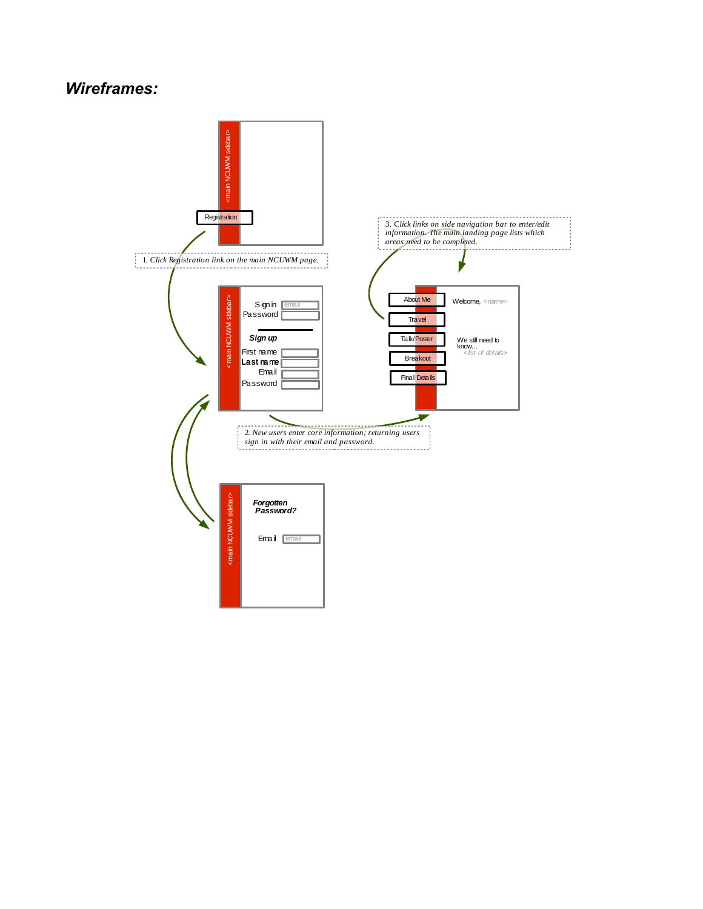#### *Wireframes:*

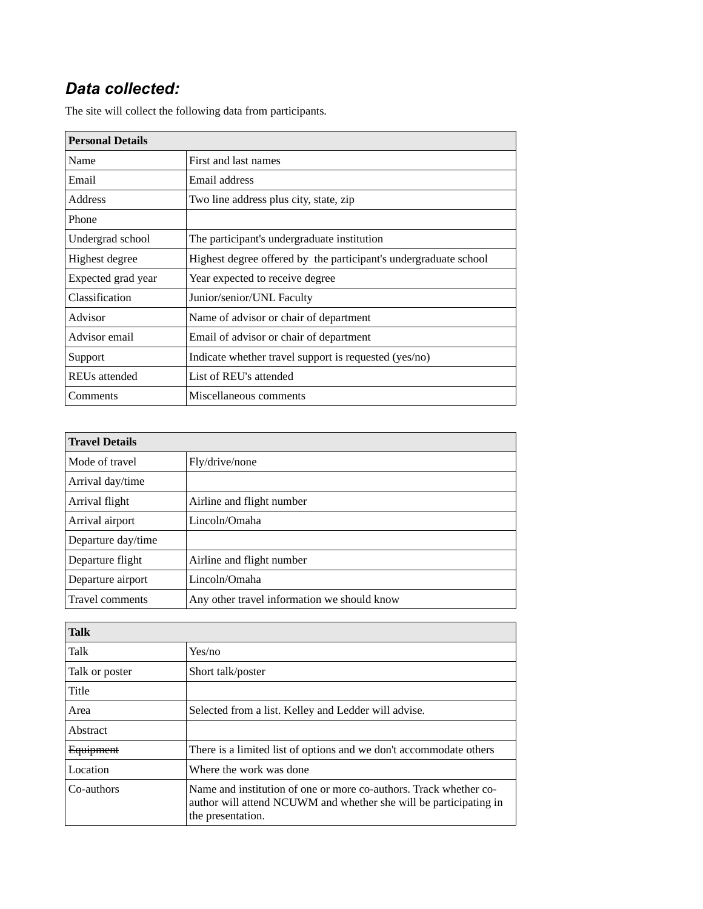## *Data collected:*

| <b>Personal Details</b> |                                                                  |  |
|-------------------------|------------------------------------------------------------------|--|
| Name                    | First and last names                                             |  |
| Email                   | Email address                                                    |  |
| <b>Address</b>          | Two line address plus city, state, zip                           |  |
| Phone                   |                                                                  |  |
| Undergrad school        | The participant's undergraduate institution                      |  |
| Highest degree          | Highest degree offered by the participant's undergraduate school |  |
| Expected grad year      | Year expected to receive degree                                  |  |
| Classification          | Junior/senior/UNL Faculty                                        |  |
| Advisor                 | Name of advisor or chair of department                           |  |
| Advisor email           | Email of advisor or chair of department                          |  |
| Support                 | Indicate whether travel support is requested (yes/no)            |  |
| REUs attended           | List of REU's attended                                           |  |
| Comments                | Miscellaneous comments                                           |  |

The site will collect the following data from participants.

| <b>Travel Details</b> |                                             |  |
|-----------------------|---------------------------------------------|--|
| Mode of travel        | Fly/drive/none                              |  |
| Arrival day/time      |                                             |  |
| Arrival flight        | Airline and flight number                   |  |
| Arrival airport       | Lincoln/Omaha                               |  |
| Departure day/time    |                                             |  |
| Departure flight      | Airline and flight number                   |  |
| Departure airport     | Lincoln/Omaha                               |  |
| Travel comments       | Any other travel information we should know |  |

| <b>Talk</b>      |                                                                                                                                                             |
|------------------|-------------------------------------------------------------------------------------------------------------------------------------------------------------|
| Talk             | Yes/no                                                                                                                                                      |
| Talk or poster   | Short talk/poster                                                                                                                                           |
| Title            |                                                                                                                                                             |
| Area             | Selected from a list. Kelley and Ledder will advise.                                                                                                        |
| Abstract         |                                                                                                                                                             |
| <b>Equipment</b> | There is a limited list of options and we don't accommodate others                                                                                          |
| Location         | Where the work was done                                                                                                                                     |
| Co-authors       | Name and institution of one or more co-authors. Track whether co-<br>author will attend NCUWM and whether she will be participating in<br>the presentation. |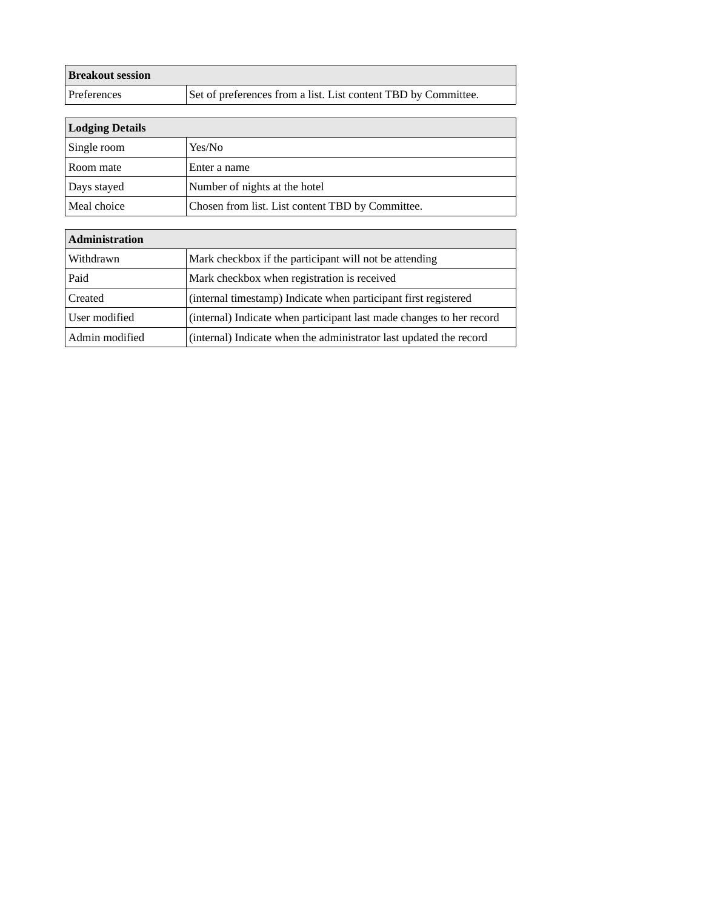| <b>Breakout session</b> |                                                                |
|-------------------------|----------------------------------------------------------------|
| Preferences             | Set of preferences from a list. List content TBD by Committee. |

 $\overline{a}$ 

| Lodging Details |                                                  |  |
|-----------------|--------------------------------------------------|--|
| Single room     | Yes/No                                           |  |
| Room mate       | Enter a name                                     |  |
| Days stayed     | Number of nights at the hotel                    |  |
| Meal choice     | Chosen from list. List content TBD by Committee. |  |

| <b>Administration</b> |                                                                      |
|-----------------------|----------------------------------------------------------------------|
| Withdrawn             | Mark checkbox if the participant will not be attending               |
| Paid                  | Mark checkbox when registration is received                          |
| Created               | (internal timestamp) Indicate when participant first registered      |
| User modified         | (internal) Indicate when participant last made changes to her record |
| Admin modified        | (internal) Indicate when the administrator last updated the record   |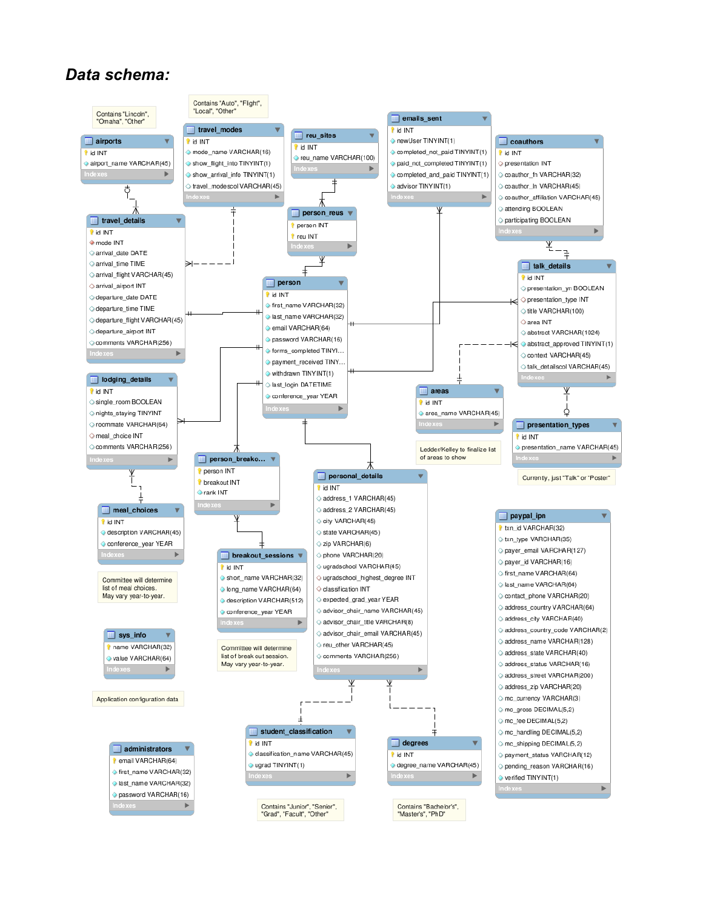#### *Data schema:*

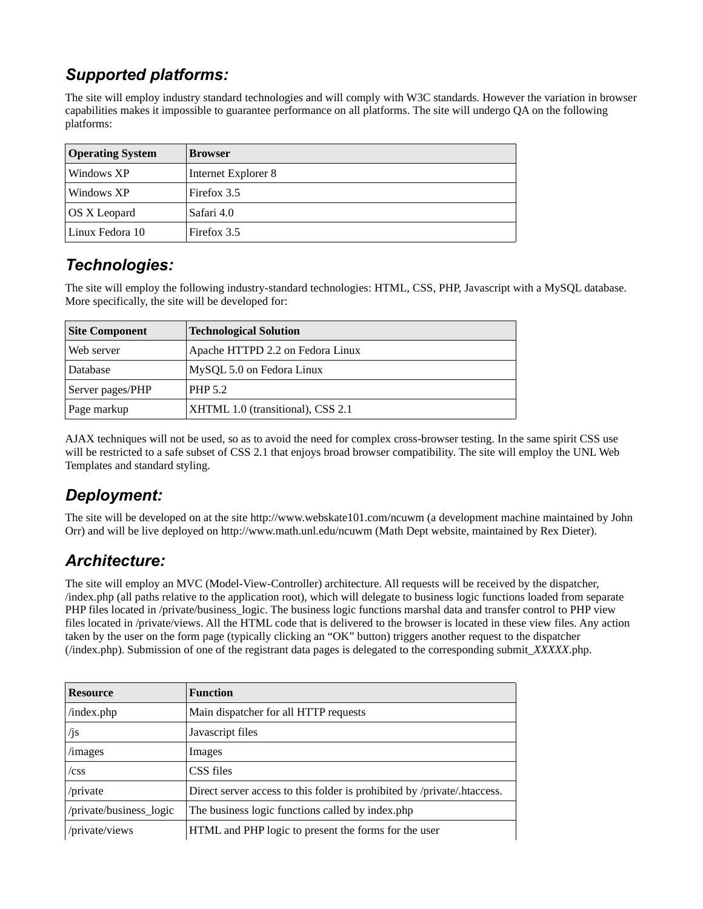## *Supported platforms:*

The site will employ industry standard technologies and will comply with W3C standards. However the variation in browser capabilities makes it impossible to guarantee performance on all platforms. The site will undergo QA on the following platforms:

| <b>Operating System</b> | <b>Browser</b>      |
|-------------------------|---------------------|
| Windows XP              | Internet Explorer 8 |
| Windows XP              | Firefox 3.5         |
| OS X Leopard            | Safari 4.0          |
| Linux Fedora 10         | Firefox 3.5         |

## *Technologies:*

The site will employ the following industry-standard technologies: HTML, CSS, PHP, Javascript with a MySQL database. More specifically, the site will be developed for:

| <b>Site Component</b> | <b>Technological Solution</b>     |
|-----------------------|-----------------------------------|
| Web server            | Apache HTTPD 2.2 on Fedora Linux  |
| Database              | MySQL 5.0 on Fedora Linux         |
| Server pages/PHP      | <b>PHP 5.2</b>                    |
| Page markup           | XHTML 1.0 (transitional), CSS 2.1 |

AJAX techniques will not be used, so as to avoid the need for complex cross-browser testing. In the same spirit CSS use will be restricted to a safe subset of CSS 2.1 that enjoys broad browser compatibility. The site will employ the UNL Web Templates and standard styling.

## *Deployment:*

The site will be developed on at the site http://www.webskate101.com/ncuwm (a development machine maintained by John Orr) and will be live deployed on http://www.math.unl.edu/ncuwm (Math Dept website, maintained by Rex Dieter).

## *Architecture:*

The site will employ an MVC (Model-View-Controller) architecture. All requests will be received by the dispatcher, /index.php (all paths relative to the application root), which will delegate to business logic functions loaded from separate PHP files located in /private/business\_logic. The business logic functions marshal data and transfer control to PHP view files located in /private/views. All the HTML code that is delivered to the browser is located in these view files. Any action taken by the user on the form page (typically clicking an "OK" button) triggers another request to the dispatcher (/index.php). Submission of one of the registrant data pages is delegated to the corresponding submit\_*XXXXX*.php.

| <b>Resource</b>         | <b>Function</b>                                                          |
|-------------------------|--------------------------------------------------------------------------|
| /index.php              | Main dispatcher for all HTTP requests                                    |
| /js                     | Javascript files                                                         |
| /images                 | Images                                                                   |
| /css                    | CSS files                                                                |
| /private                | Direct server access to this folder is prohibited by /private/.htaccess. |
| /private/business_logic | The business logic functions called by index.php                         |
| /private/views          | HTML and PHP logic to present the forms for the user                     |